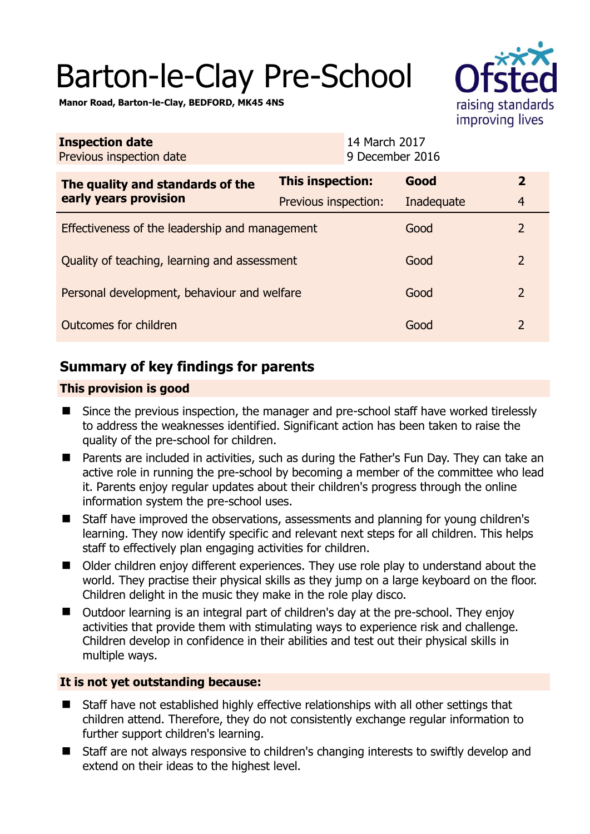# Barton-le-Clay Pre-School



**Manor Road, Barton-le-Clay, BEDFORD, MK45 4NS** 

| <b>Inspection date</b><br>Previous inspection date        | 14 March 2017<br>9 December 2016 |            |                |
|-----------------------------------------------------------|----------------------------------|------------|----------------|
| The quality and standards of the<br>early years provision | <b>This inspection:</b>          | Good       | $\mathbf{2}$   |
|                                                           | Previous inspection:             | Inadequate | $\overline{4}$ |
| Effectiveness of the leadership and management            |                                  | Good       | $\overline{2}$ |
| Quality of teaching, learning and assessment              |                                  | Good       | $\overline{2}$ |
| Personal development, behaviour and welfare               |                                  | Good       | $\overline{2}$ |
| Outcomes for children                                     |                                  | Good       | $\overline{2}$ |

# **Summary of key findings for parents**

## **This provision is good**

- Since the previous inspection, the manager and pre-school staff have worked tirelessly to address the weaknesses identified. Significant action has been taken to raise the quality of the pre-school for children.
- Parents are included in activities, such as during the Father's Fun Day. They can take an active role in running the pre-school by becoming a member of the committee who lead it. Parents enjoy regular updates about their children's progress through the online information system the pre-school uses.
- Staff have improved the observations, assessments and planning for young children's learning. They now identify specific and relevant next steps for all children. This helps staff to effectively plan engaging activities for children.
- Older children enjoy different experiences. They use role play to understand about the world. They practise their physical skills as they jump on a large keyboard on the floor. Children delight in the music they make in the role play disco.
- Outdoor learning is an integral part of children's day at the pre-school. They enjoy activities that provide them with stimulating ways to experience risk and challenge. Children develop in confidence in their abilities and test out their physical skills in multiple ways.

## **It is not yet outstanding because:**

- Staff have not established highly effective relationships with all other settings that children attend. Therefore, they do not consistently exchange regular information to further support children's learning.
- Staff are not always responsive to children's changing interests to swiftly develop and extend on their ideas to the highest level.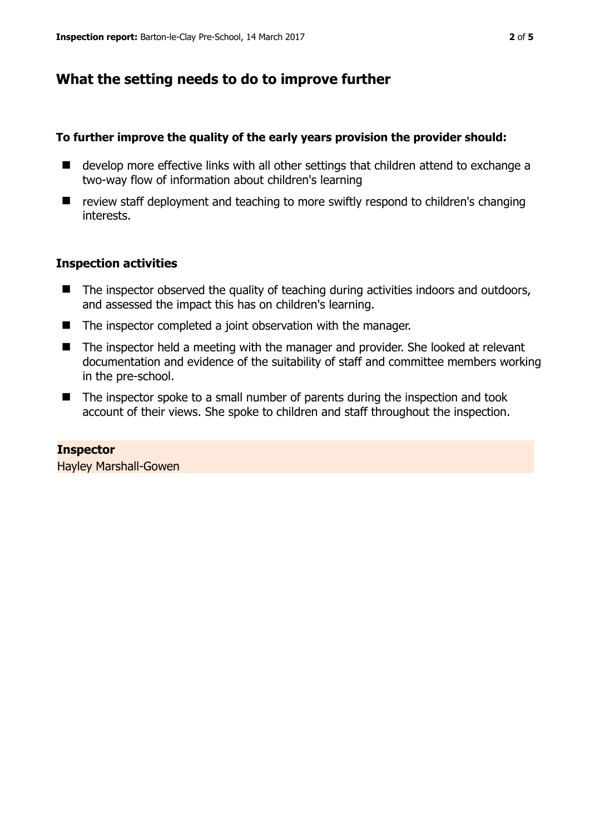# **What the setting needs to do to improve further**

## **To further improve the quality of the early years provision the provider should:**

- develop more effective links with all other settings that children attend to exchange a two-way flow of information about children's learning
- review staff deployment and teaching to more swiftly respond to children's changing interests.

## **Inspection activities**

- The inspector observed the quality of teaching during activities indoors and outdoors, and assessed the impact this has on children's learning.
- The inspector completed a joint observation with the manager.
- The inspector held a meeting with the manager and provider. She looked at relevant documentation and evidence of the suitability of staff and committee members working in the pre-school.
- The inspector spoke to a small number of parents during the inspection and took account of their views. She spoke to children and staff throughout the inspection.

**Inspector**  Hayley Marshall-Gowen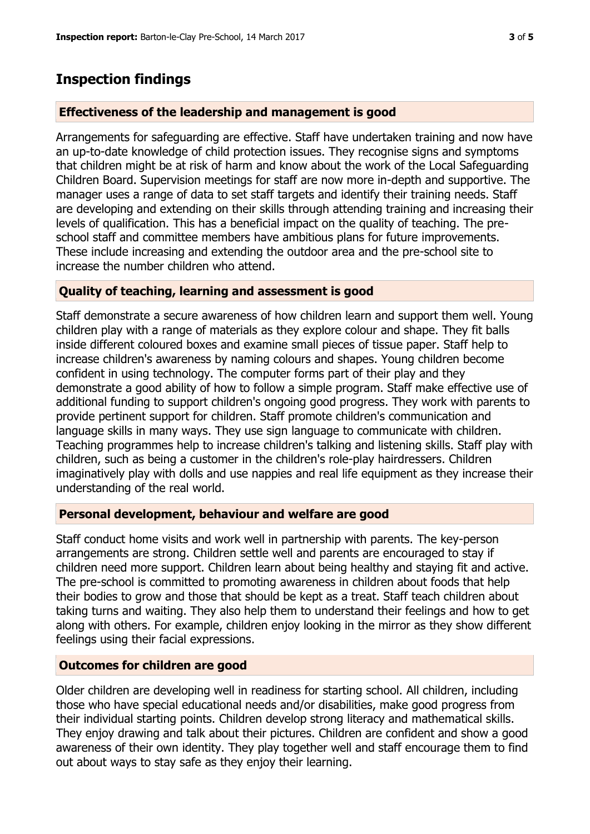## **Inspection findings**

#### **Effectiveness of the leadership and management is good**

Arrangements for safeguarding are effective. Staff have undertaken training and now have an up-to-date knowledge of child protection issues. They recognise signs and symptoms that children might be at risk of harm and know about the work of the Local Safeguarding Children Board. Supervision meetings for staff are now more in-depth and supportive. The manager uses a range of data to set staff targets and identify their training needs. Staff are developing and extending on their skills through attending training and increasing their levels of qualification. This has a beneficial impact on the quality of teaching. The preschool staff and committee members have ambitious plans for future improvements. These include increasing and extending the outdoor area and the pre-school site to increase the number children who attend.

#### **Quality of teaching, learning and assessment is good**

Staff demonstrate a secure awareness of how children learn and support them well. Young children play with a range of materials as they explore colour and shape. They fit balls inside different coloured boxes and examine small pieces of tissue paper. Staff help to increase children's awareness by naming colours and shapes. Young children become confident in using technology. The computer forms part of their play and they demonstrate a good ability of how to follow a simple program. Staff make effective use of additional funding to support children's ongoing good progress. They work with parents to provide pertinent support for children. Staff promote children's communication and language skills in many ways. They use sign language to communicate with children. Teaching programmes help to increase children's talking and listening skills. Staff play with children, such as being a customer in the children's role-play hairdressers. Children imaginatively play with dolls and use nappies and real life equipment as they increase their understanding of the real world.

#### **Personal development, behaviour and welfare are good**

Staff conduct home visits and work well in partnership with parents. The key-person arrangements are strong. Children settle well and parents are encouraged to stay if children need more support. Children learn about being healthy and staying fit and active. The pre-school is committed to promoting awareness in children about foods that help their bodies to grow and those that should be kept as a treat. Staff teach children about taking turns and waiting. They also help them to understand their feelings and how to get along with others. For example, children enjoy looking in the mirror as they show different feelings using their facial expressions.

#### **Outcomes for children are good**

Older children are developing well in readiness for starting school. All children, including those who have special educational needs and/or disabilities, make good progress from their individual starting points. Children develop strong literacy and mathematical skills. They enjoy drawing and talk about their pictures. Children are confident and show a good awareness of their own identity. They play together well and staff encourage them to find out about ways to stay safe as they enjoy their learning.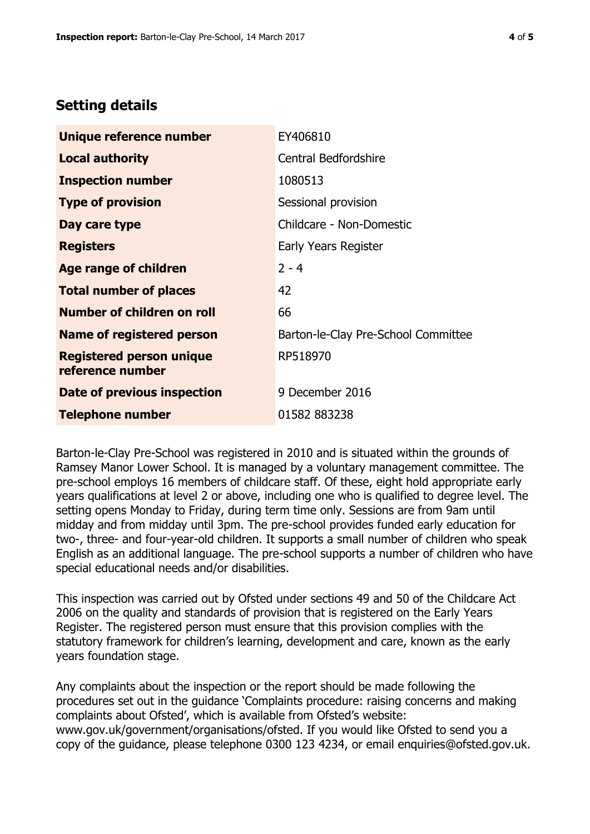# **Setting details**

| Unique reference number                             | EY406810                            |  |
|-----------------------------------------------------|-------------------------------------|--|
| <b>Local authority</b>                              | Central Bedfordshire                |  |
| <b>Inspection number</b>                            | 1080513                             |  |
| <b>Type of provision</b>                            | Sessional provision                 |  |
| Day care type                                       | Childcare - Non-Domestic            |  |
| <b>Registers</b>                                    | Early Years Register                |  |
| Age range of children                               | $2 - 4$                             |  |
| <b>Total number of places</b>                       | 42                                  |  |
| Number of children on roll                          | 66                                  |  |
| Name of registered person                           | Barton-le-Clay Pre-School Committee |  |
| <b>Registered person unique</b><br>reference number | RP518970                            |  |
| Date of previous inspection                         | 9 December 2016                     |  |
| <b>Telephone number</b>                             | 01582 883238                        |  |

Barton-le-Clay Pre-School was registered in 2010 and is situated within the grounds of Ramsey Manor Lower School. It is managed by a voluntary management committee. The pre-school employs 16 members of childcare staff. Of these, eight hold appropriate early years qualifications at level 2 or above, including one who is qualified to degree level. The setting opens Monday to Friday, during term time only. Sessions are from 9am until midday and from midday until 3pm. The pre-school provides funded early education for two-, three- and four-year-old children. It supports a small number of children who speak English as an additional language. The pre-school supports a number of children who have special educational needs and/or disabilities.

This inspection was carried out by Ofsted under sections 49 and 50 of the Childcare Act 2006 on the quality and standards of provision that is registered on the Early Years Register. The registered person must ensure that this provision complies with the statutory framework for children's learning, development and care, known as the early years foundation stage.

Any complaints about the inspection or the report should be made following the procedures set out in the guidance 'Complaints procedure: raising concerns and making complaints about Ofsted', which is available from Ofsted's website: www.gov.uk/government/organisations/ofsted. If you would like Ofsted to send you a copy of the guidance, please telephone 0300 123 4234, or email enquiries@ofsted.gov.uk.